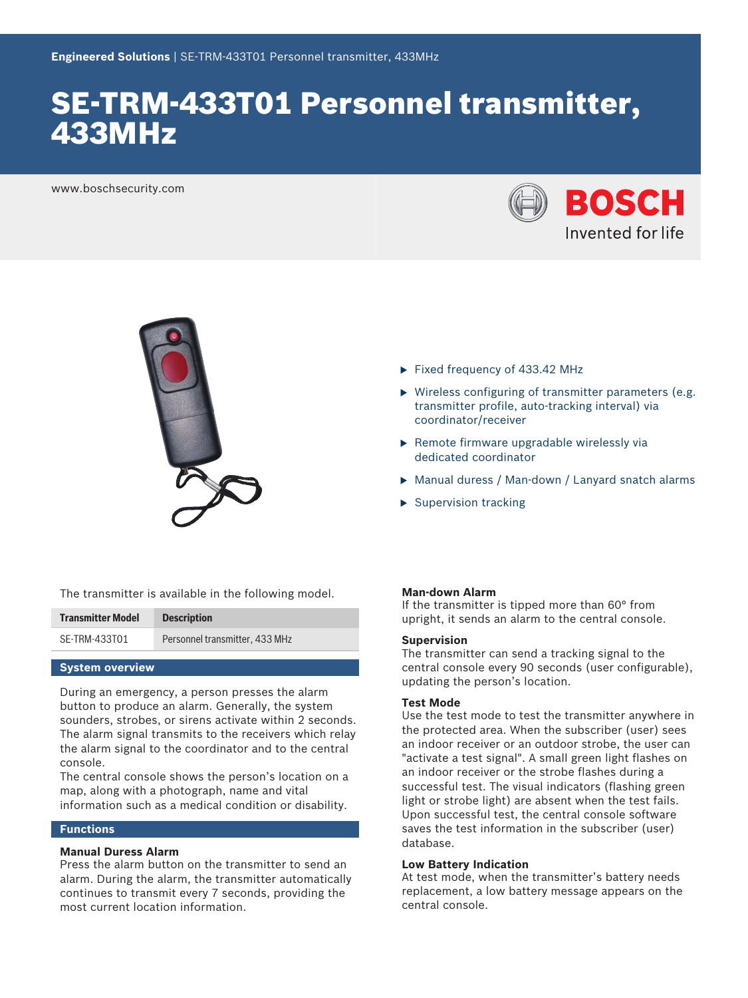# SE-TRM-433T01 Personnel transmitter, 433MHz

www.boschsecurity.com





- $\blacktriangleright$  Fixed frequency of 433.42 MHz
- $\triangleright$  Wireless configuring of transmitter parameters (e.g. transmitter profile, auto-tracking interval) via coordinator/receiver
- $\triangleright$  Remote firmware upgradable wirelessly via dedicated coordinator
- ▶ Manual duress / Man-down / Lanyard snatch alarms
- $\blacktriangleright$  Supervision tracking

The transmitter is available in the following model.

| <b>Transmitter Model</b> | <b>Description</b>             |
|--------------------------|--------------------------------|
| SE-TRM-433T01            | Personnel transmitter, 433 MHz |

### **System overview**

During an emergency, a person presses the alarm button to produce an alarm. Generally, the system sounders, strobes, or sirens activate within 2 seconds. The alarm signal transmits to the receivers which relay the alarm signal to the coordinator and to the central console.

The central console shows the person's location on a map, along with a photograph, name and vital information such as a medical condition or disability.

# **Functions**

# **Manual Duress Alarm**

Press the alarm button on the transmitter to send an alarm. During the alarm, the transmitter automatically continues to transmit every 7 seconds, providing the most current location information.

### **Man-down Alarm**

If the transmitter is tipped more than 60° from upright, it sends an alarm to the central console.

#### **Supervision**

The transmitter can send a tracking signal to the central console every 90 seconds (user configurable), updating the person's location.

# **Test Mode**

Use the test mode to test the transmitter anywhere in the protected area. When the subscriber (user) sees an indoor receiver or an outdoor strobe, the user can "activate a test signal". A small green light flashes on an indoor receiver or the strobe flashes during a successful test. The visual indicators (flashing green light or strobe light) are absent when the test fails. Upon successful test, the central console software saves the test information in the subscriber (user) database.

#### **Low Battery Indication**

At test mode, when the transmitter's battery needs replacement, a low battery message appears on the central console.